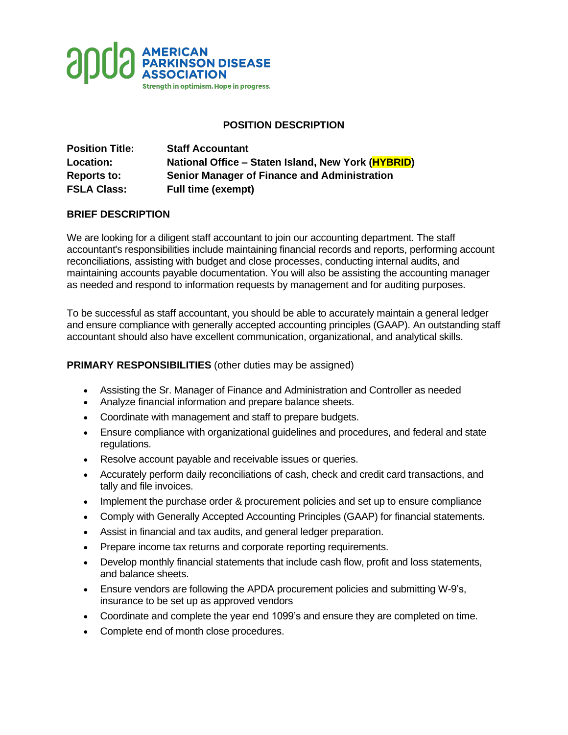

# **POSITION DESCRIPTION**

| <b>Position Title:</b> | <b>Staff Accountant</b>                             |
|------------------------|-----------------------------------------------------|
| <b>Location:</b>       | National Office - Staten Island, New York (HYBRID)  |
| <b>Reports to:</b>     | <b>Senior Manager of Finance and Administration</b> |
| <b>FSLA Class:</b>     | <b>Full time (exempt)</b>                           |

## **BRIEF DESCRIPTION**

We are looking for a diligent staff accountant to join our accounting department. The staff accountant's responsibilities include maintaining financial records and reports, performing account reconciliations, assisting with budget and close processes, conducting internal audits, and maintaining accounts payable documentation. You will also be assisting the accounting manager as needed and respond to information requests by management and for auditing purposes.

To be successful as staff accountant, you should be able to accurately maintain a general ledger and ensure compliance with generally accepted accounting principles (GAAP). An outstanding staff accountant should also have excellent communication, organizational, and analytical skills.

#### **PRIMARY RESPONSIBILITIES** (other duties may be assigned)

- Assisting the Sr. Manager of Finance and Administration and Controller as needed
- Analyze financial information and prepare balance sheets.
- Coordinate with management and staff to prepare budgets.
- Ensure compliance with organizational guidelines and procedures, and federal and state regulations.
- Resolve account payable and receivable issues or queries.
- Accurately perform daily reconciliations of cash, check and credit card transactions, and tally and file invoices.
- Implement the purchase order & procurement policies and set up to ensure compliance
- Comply with Generally Accepted Accounting Principles (GAAP) for financial statements.
- Assist in financial and tax audits, and general ledger preparation.
- Prepare income tax returns and corporate reporting requirements.
- Develop monthly financial statements that include cash flow, profit and loss statements, and balance sheets.
- Ensure vendors are following the APDA procurement policies and submitting W-9's, insurance to be set up as approved vendors
- Coordinate and complete the year end 1099's and ensure they are completed on time.
- Complete end of month close procedures.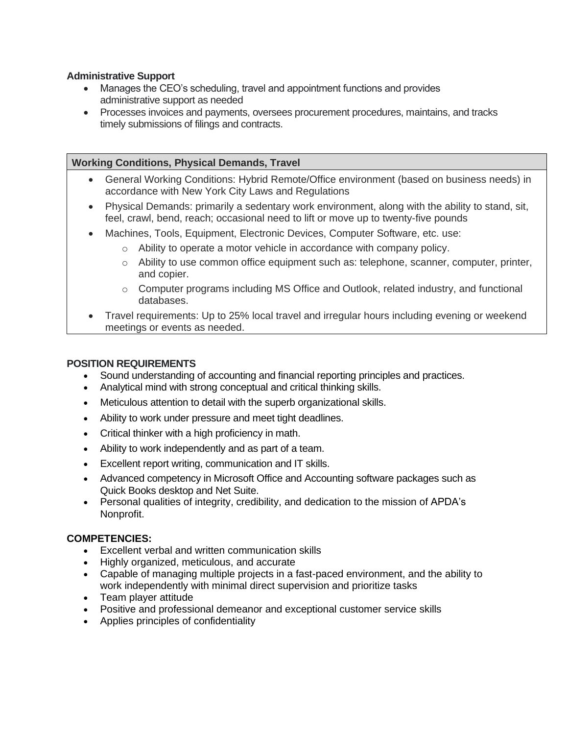#### **Administrative Support**

- Manages the CEO's scheduling, travel and appointment functions and provides administrative support as needed
- Processes invoices and payments, oversees procurement procedures, maintains, and tracks timely submissions of filings and contracts.

## **Working Conditions, Physical Demands, Travel**

- General Working Conditions: Hybrid Remote/Office environment (based on business needs) in accordance with New York City Laws and Regulations
- Physical Demands: primarily a sedentary work environment, along with the ability to stand, sit, feel, crawl, bend, reach; occasional need to lift or move up to twenty-five pounds
- Machines, Tools, Equipment, Electronic Devices, Computer Software, etc. use:
	- $\circ$  Ability to operate a motor vehicle in accordance with company policy.
	- $\circ$  Ability to use common office equipment such as: telephone, scanner, computer, printer, and copier.
	- $\circ$  Computer programs including MS Office and Outlook, related industry, and functional databases.
- Travel requirements: Up to 25% local travel and irregular hours including evening or weekend meetings or events as needed.

## **POSITION REQUIREMENTS**

- Sound understanding of accounting and financial reporting principles and practices.
- Analytical mind with strong conceptual and critical thinking skills.
- Meticulous attention to detail with the superb organizational skills.
- Ability to work under pressure and meet tight deadlines.
- Critical thinker with a high proficiency in math.
- Ability to work independently and as part of a team.
- Excellent report writing, communication and IT skills.
- Advanced competency in Microsoft Office and Accounting software packages such as Quick Books desktop and Net Suite.
- Personal qualities of integrity, credibility, and dedication to the mission of APDA's Nonprofit.

## **COMPETENCIES:**

- Excellent verbal and written communication skills
- Highly organized, meticulous, and accurate
- Capable of managing multiple projects in a fast-paced environment, and the ability to work independently with minimal direct supervision and prioritize tasks
- Team player attitude
- Positive and professional demeanor and exceptional customer service skills
- Applies principles of confidentiality